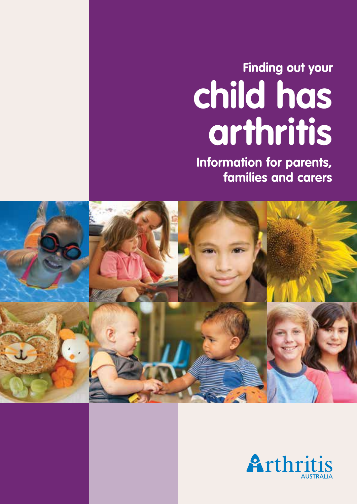# **Finding out your child has arthritis**

**Information for parents, families and carers**



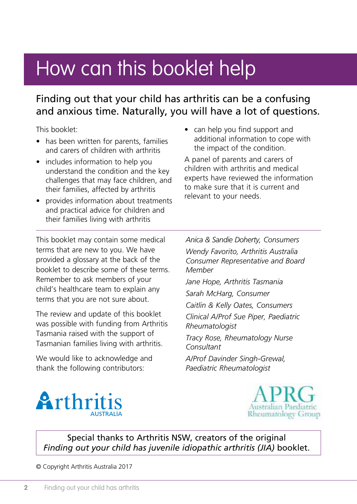## How can this booklet help

## Finding out that your child has arthritis can be a confusing and anxious time. Naturally, you will have a lot of questions.

This booklet:

- has been written for parents, families and carers of children with arthritis
- includes information to help you understand the condition and the key challenges that may face children, and their families, affected by arthritis
- provides information about treatments and practical advice for children and their families living with arthritis
- can help you find support and additional information to cope with the impact of the condition.

A panel of parents and carers of children with arthritis and medical experts have reviewed the information to make sure that it is current and relevant to your needs.

This booklet may contain some medical terms that are new to you. We have provided a glossary at the back of the booklet to describe some of these terms. Remember to ask members of your child's healthcare team to explain any terms that you are not sure about.

The review and update of this booklet was possible with funding from Arthritis Tasmania raised with the support of Tasmanian families living with arthritis.

We would like to acknowledge and thank the following contributors:

*Anica & Sandie Doherty, Consumers Wendy Favorito, Arthritis Australia Consumer Representative and Board Member Jane Hope, Arthritis Tasmania Sarah McHarg, Consumer Caitlin & Kelly Oates, Consumers Clinical A/Prof Sue Piper, Paediatric Rheumatologist Tracy Rose, Rheumatology Nurse Consultant A/Prof Davinder Singh-Grewal, Paediatric Rheumatologist*





Special thanks to Arthritis NSW, creators of the original *Finding out your child has juvenile idiopathic arthritis (JIA)* booklet.

© Copyright Arthritis Australia 2017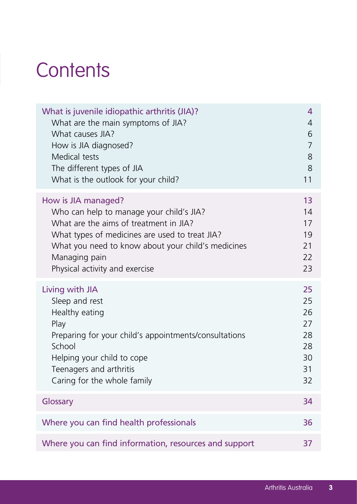## **Contents**

| What is juvenile idiopathic arthritis (JIA)?          | 4              |
|-------------------------------------------------------|----------------|
| What are the main symptoms of JIA?                    | 4              |
| What causes IIA?                                      | 6              |
| How is JIA diagnosed?                                 | $\overline{7}$ |
| Medical tests                                         | 8              |
| The different types of JIA                            | 8              |
| What is the outlook for your child?                   | 11             |
| How is JIA managed?                                   | 13             |
| Who can help to manage your child's JIA?              | 14             |
| What are the aims of treatment in JIA?                | 17             |
| What types of medicines are used to treat JIA?        | 19             |
| What you need to know about your child's medicines    | 21             |
| Managing pain                                         | 22             |
| Physical activity and exercise                        | 23             |
| Living with JIA                                       | 25             |
| Sleep and rest                                        | 25             |
| Healthy eating                                        | 26             |
| Play                                                  | 27             |
| Preparing for your child's appointments/consultations | 28             |
| School                                                | 28             |
| Helping your child to cope                            | 30             |
| Teenagers and arthritis                               | 31             |
| Caring for the whole family                           | 32             |
| Glossary                                              | 34             |
| Where you can find health professionals               | 36             |
| Where you can find information, resources and support | 37             |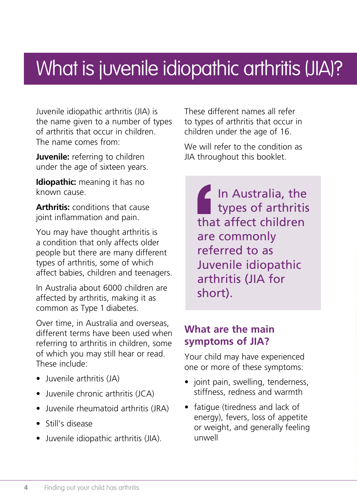## What is juvenile idiopathic arthritis (JIA)?

Juvenile idiopathic arthritis (JIA) is the name given to a number of types of arthritis that occur in children. The name comes from:

**Juvenile:** referring to children under the age of sixteen years.

**Idiopathic:** meaning it has no known cause.

**Arthritis:** conditions that cause joint inflammation and pain.

You may have thought arthritis is a condition that only affects older people but there are many different types of arthritis, some of which affect babies, children and teenagers.

In Australia about 6000 children are affected by arthritis, making it as common as Type 1 diabetes.

Over time, in Australia and overseas, different terms have been used when referring to arthritis in children, some of which you may still hear or read. These include:

- Juvenile arthritis (JA)
- Juvenile chronic arthritis (JCA)
- Juvenile rheumatoid arthritis (JRA)
- Still's disease
- Juvenile idiopathic arthritis (JIA).

These different names all refer to types of arthritis that occur in children under the age of 16.

We will refer to the condition as JIA throughout this booklet.

In Australia, the types of arthritis that affect children are commonly referred to as Juvenile idiopathic arthritis (JIA for short).

## **What are the main symptoms of JIA?**

Your child may have experienced one or more of these symptoms:

- joint pain, swelling, tenderness, stiffness, redness and warmth
- fatigue (tiredness and lack of energy), fevers, loss of appetite or weight, and generally feeling unwell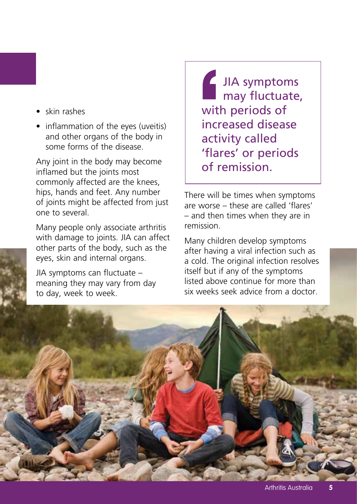- skin rashes
- inflammation of the eyes (uveitis) and other organs of the body in some forms of the disease.

Any joint in the body may become inflamed but the joints most commonly affected are the knees, hips, hands and feet. Any number of joints might be affected from just one to several.

Many people only associate arthritis with damage to joints. JIA can affect other parts of the body, such as the eyes, skin and internal organs.

JIA symptoms can fluctuate – meaning they may vary from day to day, week to week.

JIA symptoms may fluctuate, with periods of increased disease activity called 'flares' or periods of remission.

There will be times when symptoms are worse – these are called 'flares' – and then times when they are in remission.

Many children develop symptoms after having a viral infection such as a cold. The original infection resolves itself but if any of the symptoms listed above continue for more than six weeks seek advice from a doctor.

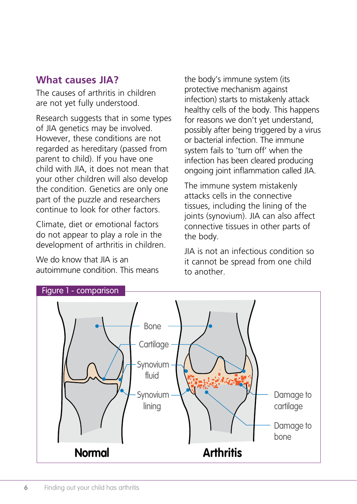#### **What causes JIA?**

The causes of arthritis in children are not yet fully understood.

Research suggests that in some types of JIA genetics may be involved. However, these conditions are not regarded as hereditary (passed from parent to child). If you have one child with JIA, it does not mean that your other children will also develop the condition. Genetics are only one part of the puzzle and researchers continue to look for other factors.

Climate, diet or emotional factors do not appear to play a role in the development of arthritis in children.

We do know that IIA is an autoimmune condition. This means the body's immune system (its protective mechanism against infection) starts to mistakenly attack healthy cells of the body. This happens for reasons we don't yet understand, possibly after being triggered by a virus or bacterial infection. The immune system fails to 'turn off' when the infection has been cleared producing ongoing joint inflammation called JIA.

The immune system mistakenly attacks cells in the connective tissues, including the lining of the joints (synovium). JIA can also affect connective tissues in other parts of the body.

JIA is not an infectious condition so it cannot be spread from one child to another.

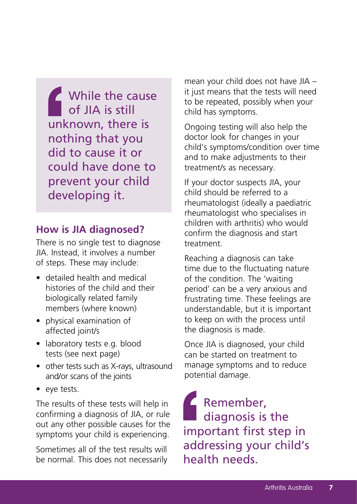While the cause of JIA is still unknown, there is nothing that you did to cause it or could have done to prevent your child developing it.

#### **How is JIA diagnosed?**

There is no single test to diagnose JIA. Instead, it involves a number of steps. These may include:

- detailed health and medical histories of the child and their biologically related family members (where known)
- physical examination of affected joint/s
- laboratory tests e.g. blood tests (see next page)
- other tests such as X-rays, ultrasound and/or scans of the joints
- eye tests.

The results of these tests will help in confirming a diagnosis of JIA, or rule out any other possible causes for the symptoms your child is experiencing.

Sometimes all of the test results will be normal. This does not necessarily mean your child does not have JIA – it just means that the tests will need to be repeated, possibly when your child has symptoms.

Ongoing testing will also help the doctor look for changes in your child's symptoms/condition over time and to make adjustments to their treatment/s as necessary.

If your doctor suspects JIA, your child should be referred to a rheumatologist (ideally a paediatric rheumatologist who specialises in children with arthritis) who would confirm the diagnosis and start treatment.

Reaching a diagnosis can take time due to the fluctuating nature of the condition. The 'waiting period' can be a very anxious and frustrating time. These feelings are understandable, but it is important to keep on with the process until the diagnosis is made.

Once JIA is diagnosed, your child can be started on treatment to manage symptoms and to reduce potential damage.

Remember, diagnosis is the important first step in addressing your child's health needs.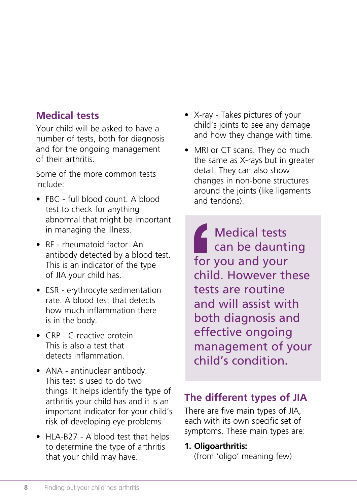## **Medical tests**

Your child will be asked to have a number of tests, both for diagnosis and for the ongoing management of their arthritis.

Some of the more common tests include:

- FBC full blood count. A blood test to check for anything abnormal that might be important in managing the illness.
- RF rheumatoid factor. An antibody detected by a blood test. This is an indicator of the type of JIA your child has.
- ESR erythrocyte sedimentation rate. A blood test that detects how much inflammation there is in the body.
- CRP C-reactive protein. This is also a test that detects inflammation.
- ANA antinuclear antibody. This test is used to do two things. It helps identify the type of arthritis your child has and it is an important indicator for your child's risk of developing eye problems.
- HLA-B27 A blood test that helps to determine the type of arthritis that your child may have.
- X-ray Takes pictures of your child's joints to see any damage and how they change with time.
- MRI or CT scans. They do much the same as X-rays but in greater detail. They can also show changes in non-bone structures around the joints (like ligaments and tendons).

Medical tests can be daunting for you and your child. However these tests are routine and will assist with both diagnosis and effective ongoing management of your child's condition.

## **The different types of JIA**

There are five main types of JIA, each with its own specific set of symptoms. These main types are:

#### **1. Oligoarthritis:**

(from 'oligo' meaning few)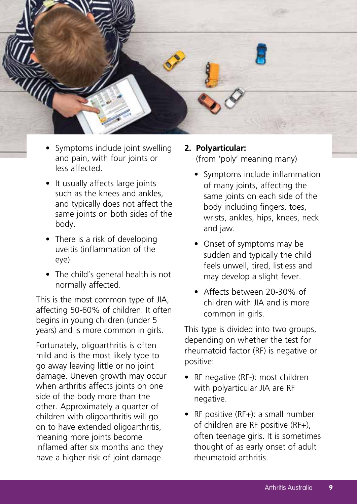

- Symptoms include joint swelling and pain, with four joints or less affected.
- It usually affects large joints such as the knees and ankles, and typically does not affect the same joints on both sides of the body.
- There is a risk of developing uveitis (inflammation of the eye).
- The child's general health is not normally affected.

This is the most common type of JIA, affecting 50-60% of children. It often begins in young children (under 5 years) and is more common in girls.

Fortunately, oligoarthritis is often mild and is the most likely type to go away leaving little or no joint damage. Uneven growth may occur when arthritis affects joints on one side of the body more than the other. Approximately a quarter of children with oligoarthritis will go on to have extended oligoarthritis, meaning more joints become inflamed after six months and they have a higher risk of joint damage.

#### **2. Polyarticular:**  (from 'poly' meaning many)

- Symptoms include inflammation of many joints, affecting the same joints on each side of the body including fingers, toes, wrists, ankles, hips, knees, neck and jaw.
- Onset of symptoms may be sudden and typically the child feels unwell, tired, listless and may develop a slight fever.
- Affects between 20-30% of children with JIA and is more common in girls.

This type is divided into two groups, depending on whether the test for rheumatoid factor (RF) is negative or positive:

- RF negative (RF-): most children with polyarticular JIA are RF negative.
- RF positive (RF+): a small number of children are RF positive (RF+), often teenage girls. It is sometimes thought of as early onset of adult rheumatoid arthritis.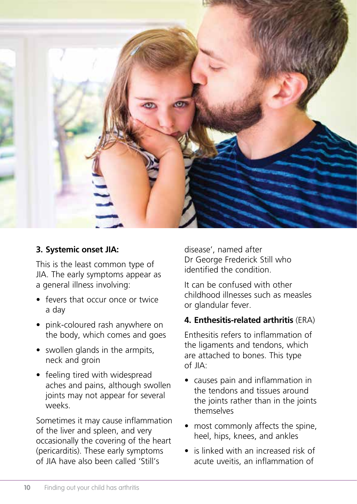

#### **3. Systemic onset JIA:**

This is the least common type of JIA. The early symptoms appear as a general illness involving:

- fevers that occur once or twice a day
- pink-coloured rash anywhere on the body, which comes and goes
- swollen glands in the armpits, neck and groin
- feeling tired with widespread aches and pains, although swollen joints may not appear for several weeks.

Sometimes it may cause inflammation of the liver and spleen, and very occasionally the covering of the heart (pericarditis). These early symptoms of JIA have also been called 'Still's

disease', named after Dr George Frederick Still who identified the condition.

It can be confused with other childhood illnesses such as measles or glandular fever.

#### **4. Enthesitis-related arthritis** (ERA)

Enthesitis refers to inflammation of the ligaments and tendons, which are attached to bones. This type  $of \mathsf{IIA}$ 

- causes pain and inflammation in the tendons and tissues around the joints rather than in the joints themselves
- most commonly affects the spine. heel, hips, knees, and ankles
- is linked with an increased risk of acute uveitis, an inflammation of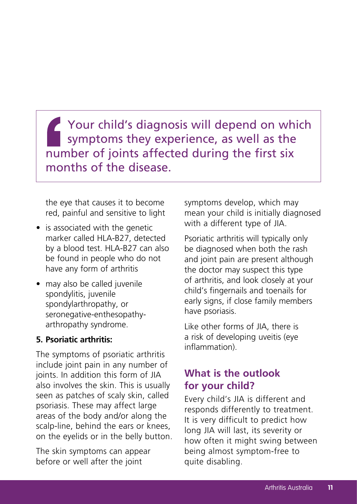Your child's diagnosis will depend on which symptoms they experience, as well as the number of joints affected during the first six months of the disease.

the eye that causes it to become red, painful and sensitive to light

- is associated with the genetic marker called HLA-B27, detected by a blood test. HLA-B27 can also be found in people who do not have any form of arthritis
- may also be called juvenile spondylitis, juvenile spondylarthropathy, or seronegative-enthesopathyarthropathy syndrome.

#### **5. Psoriatic arthritis:**

The symptoms of psoriatic arthritis include joint pain in any number of joints. In addition this form of JIA also involves the skin. This is usually seen as patches of scaly skin, called psoriasis. These may affect large areas of the body and/or along the scalp-line, behind the ears or knees, on the eyelids or in the belly button.

The skin symptoms can appear before or well after the joint

symptoms develop, which may mean your child is initially diagnosed with a different type of JIA.

Psoriatic arthritis will typically only be diagnosed when both the rash and joint pain are present although the doctor may suspect this type of arthritis, and look closely at your child's fingernails and toenails for early signs, if close family members have psoriasis.

Like other forms of JIA, there is a risk of developing uveitis (eye inflammation).

### **What is the outlook for your child?**

Every child's JIA is different and responds differently to treatment. It is very difficult to predict how long JIA will last, its severity or how often it might swing between being almost symptom-free to quite disabling.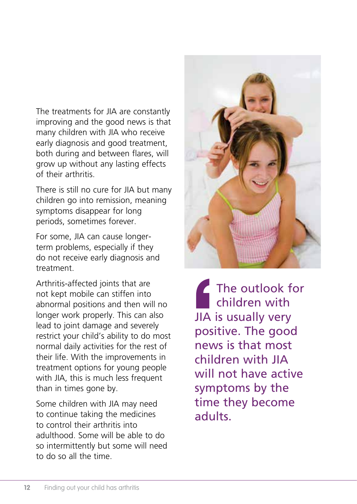The treatments for JIA are constantly improving and the good news is that many children with JIA who receive early diagnosis and good treatment, both during and between flares, will grow up without any lasting effects of their arthritis.

There is still no cure for JIA but many children go into remission, meaning symptoms disappear for long periods, sometimes forever.

For some, JIA can cause longerterm problems, especially if they do not receive early diagnosis and treatment.

Arthritis-affected joints that are not kept mobile can stiffen into abnormal positions and then will no longer work properly. This can also lead to joint damage and severely restrict your child's ability to do most normal daily activities for the rest of their life. With the improvements in treatment options for young people with JIA, this is much less frequent than in times gone by.

Some children with JIA may need to continue taking the medicines to control their arthritis into adulthood. Some will be able to do so intermittently but some will need to do so all the time.



The outlook for children with JIA is usually very positive. The good news is that most children with JIA will not have active symptoms by the time they become adults.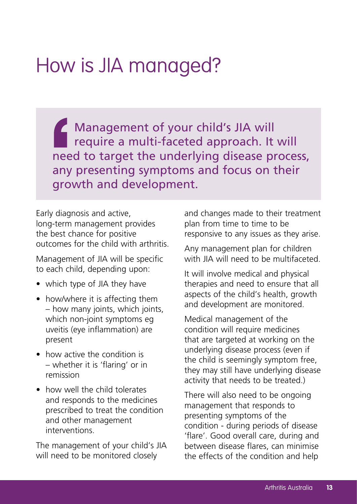## How is JIA managed?

Management of your child's JIA will require a multi-faceted approach. It will need to target the underlying disease process, any presenting symptoms and focus on their growth and development.

Early diagnosis and active, long-term management provides the best chance for positive outcomes for the child with arthritis.

Management of JIA will be specific to each child, depending upon:

- which type of JIA they have
- how/where it is affecting them – how many joints, which joints, which non-joint symptoms eg uveitis (eye inflammation) are present
- how active the condition is – whether it is 'flaring' or in remission
- how well the child tolerates and responds to the medicines prescribed to treat the condition and other management interventions.

The management of your child's JIA will need to be monitored closely

and changes made to their treatment plan from time to time to be responsive to any issues as they arise.

Any management plan for children with IIA will need to be multifaceted.

It will involve medical and physical therapies and need to ensure that all aspects of the child's health, growth and development are monitored.

Medical management of the condition will require medicines that are targeted at working on the underlying disease process (even if the child is seemingly symptom free, they may still have underlying disease activity that needs to be treated.)

There will also need to be ongoing management that responds to presenting symptoms of the condition - during periods of disease 'flare'. Good overall care, during and between disease flares, can minimise the effects of the condition and help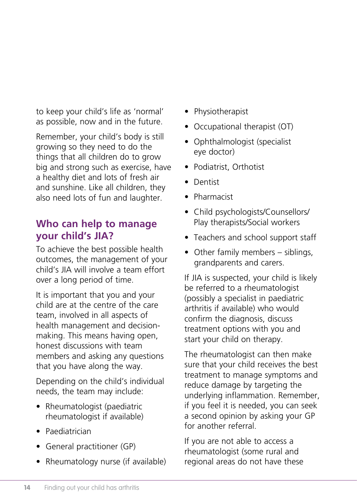to keep your child's life as 'normal' as possible, now and in the future.

Remember, your child's body is still growing so they need to do the things that all children do to grow big and strong such as exercise, have a healthy diet and lots of fresh air and sunshine. Like all children, they also need lots of fun and laughter.

### **Who can help to manage your child's JIA?**

To achieve the best possible health outcomes, the management of your child's IIA will involve a team effort over a long period of time.

It is important that you and your child are at the centre of the care team, involved in all aspects of health management and decisionmaking. This means having open, honest discussions with team members and asking any questions that you have along the way.

Depending on the child's individual needs, the team may include:

- Rheumatologist (paediatric rheumatologist if available)
- Paediatrician
- General practitioner (GP)
- Rheumatology nurse (if available)
- Physiotherapist
- Occupational therapist (OT)
- Ophthalmologist (specialist eye doctor)
- Podiatrist, Orthotist
- Dentist
- Pharmacist
- Child psychologists/Counsellors/ Play therapists/Social workers
- Teachers and school support staff
- Other family members siblings, grandparents and carers.

If JIA is suspected, your child is likely be referred to a rheumatologist (possibly a specialist in paediatric arthritis if available) who would confirm the diagnosis, discuss treatment options with you and start your child on therapy.

The rheumatologist can then make sure that your child receives the best treatment to manage symptoms and reduce damage by targeting the underlying inflammation. Remember, if you feel it is needed, you can seek a second opinion by asking your GP for another referral.

If you are not able to access a rheumatologist (some rural and regional areas do not have these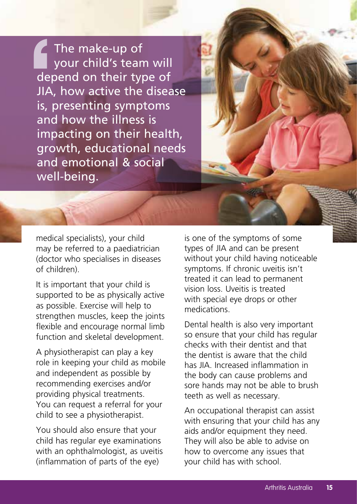The make-up of your child's team will depend on their type of JIA, how active the disease is, presenting symptoms and how the illness is impacting on their health, growth, educational needs and emotional & social well-being.

medical specialists), your child may be referred to a paediatrician (doctor who specialises in diseases of children).

It is important that your child is supported to be as physically active as possible. Exercise will help to strengthen muscles, keep the joints flexible and encourage normal limb function and skeletal development.

A physiotherapist can play a key role in keeping your child as mobile and independent as possible by recommending exercises and/or providing physical treatments. You can request a referral for your child to see a physiotherapist.

You should also ensure that your child has regular eye examinations with an ophthalmologist, as uveitis (inflammation of parts of the eye)

is one of the symptoms of some types of JIA and can be present without your child having noticeable symptoms. If chronic uveitis isn't treated it can lead to permanent vision loss. Uveitis is treated with special eye drops or other medications.

Dental health is also very important so ensure that your child has regular checks with their dentist and that the dentist is aware that the child has JIA. Increased inflammation in the body can cause problems and sore hands may not be able to brush teeth as well as necessary.

An occupational therapist can assist with ensuring that your child has any aids and/or equipment they need. They will also be able to advise on how to overcome any issues that your child has with school.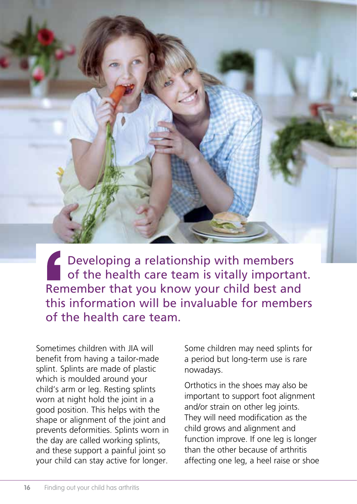Developing a relationship with members of the health care team is vitally important. Remember that you know your child best and this information will be invaluable for members of the health care team.

Sometimes children with JIA will benefit from having a tailor-made splint. Splints are made of plastic which is moulded around your child's arm or leg. Resting splints worn at night hold the joint in a good position. This helps with the shape or alignment of the joint and prevents deformities. Splints worn in the day are called working splints, and these support a painful joint so your child can stay active for longer.

Some children may need splints for a period but long-term use is rare nowadays.

Orthotics in the shoes may also be important to support foot alignment and/or strain on other leg joints. They will need modification as the child grows and alignment and function improve. If one leg is longer than the other because of arthritis affecting one leg, a heel raise or shoe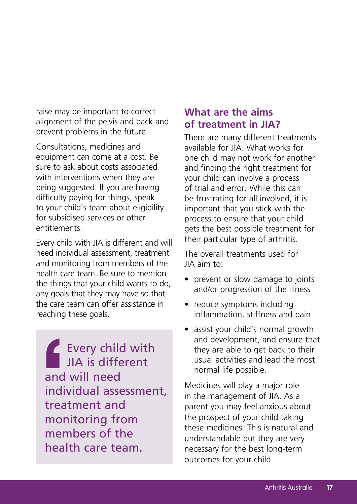raise may be important to correct alignment of the pelvis and back and prevent problems in the future.

Consultations, medicines and equipment can come at a cost. Be sure to ask about costs associated with interventions when they are being suggested. If you are having difficulty paying for things, speak to your child's team about eligibility for subsidised services or other entitlements.

Every child with JIA is different and will need individual assessment, treatment and monitoring from members of the health care team. Be sure to mention the things that your child wants to do, any goals that they may have so that the care team can offer assistance in reaching these goals.

Every child with JIA is different and will need individual assessment, treatment and monitoring from members of the health care team.

#### **What are the aims of treatment in JIA?**

There are many different treatments available for JIA. What works for one child may not work for another and finding the right treatment for your child can involve a process of trial and error. While this can be frustrating for all involved, it is important that you stick with the process to ensure that your child gets the best possible treatment for their particular type of arthritis.

The overall treatments used for JIA aim to:

- prevent or slow damage to joints and/or progression of the illness
- reduce symptoms including inflammation, stiffness and pain
- assist your child's normal growth and development, and ensure that they are able to get back to their usual activities and lead the most normal life possible.

Medicines will play a major role in the management of JIA. As a parent you may feel anxious about the prospect of your child taking these medicines. This is natural and understandable but they are very necessary for the best long-term outcomes for your child.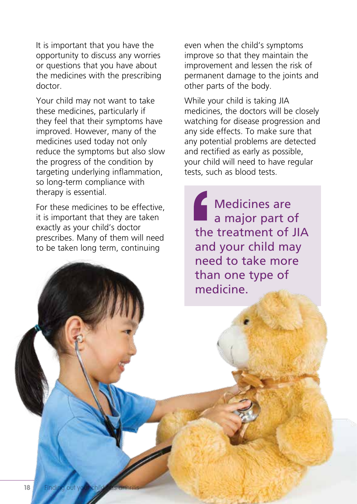It is important that you have the opportunity to discuss any worries or questions that you have about the medicines with the prescribing doctor.

Your child may not want to take these medicines, particularly if they feel that their symptoms have improved. However, many of the medicines used today not only reduce the symptoms but also slow the progress of the condition by targeting underlying inflammation, so long-term compliance with therapy is essential.

For these medicines to be effective, it is important that they are taken exactly as your child's doctor prescribes. Many of them will need to be taken long term, continuing

even when the child's symptoms improve so that they maintain the improvement and lessen the risk of permanent damage to the joints and other parts of the body.

While your child is taking JIA medicines, the doctors will be closely watching for disease progression and any side effects. To make sure that any potential problems are detected and rectified as early as possible, your child will need to have regular tests, such as blood tests.

**Medicines are** a major part of the treatment of JIA and your child may need to take more than one type of medicine.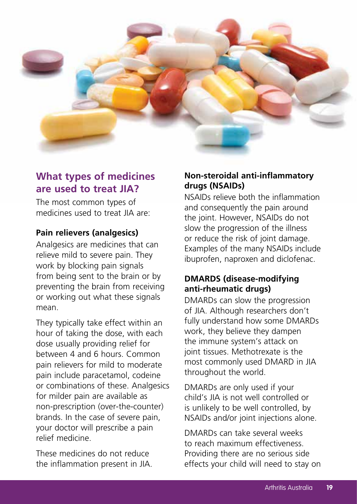

### **What types of medicines are used to treat JIA?**

The most common types of medicines used to treat JIA are:

#### **Pain relievers (analgesics)**

Analgesics are medicines that can relieve mild to severe pain. They work by blocking pain signals from being sent to the brain or by preventing the brain from receiving or working out what these signals mean.

They typically take effect within an hour of taking the dose, with each dose usually providing relief for between 4 and 6 hours. Common pain relievers for mild to moderate pain include paracetamol, codeine or combinations of these. Analgesics for milder pain are available as non-prescription (over-the-counter) brands. In the case of severe pain, your doctor will prescribe a pain relief medicine.

These medicines do not reduce the inflammation present in JIA.

#### **Non-steroidal anti-inflammatory drugs (NSAIDs)**

NSAIDs relieve both the inflammation and consequently the pain around the joint. However, NSAIDs do not slow the progression of the illness or reduce the risk of joint damage. Examples of the many NSAIDs include ibuprofen, naproxen and diclofenac.

#### **DMARDS (disease-modifying anti-rheumatic drugs)**

DMARDs can slow the progression of JIA. Although researchers don't fully understand how some DMARDs work, they believe they dampen the immune system's attack on joint tissues. Methotrexate is the most commonly used DMARD in JIA throughout the world.

DMARDs are only used if your child's JIA is not well controlled or is unlikely to be well controlled, by NSAIDs and/or joint injections alone.

DMARDs can take several weeks to reach maximum effectiveness. Providing there are no serious side effects your child will need to stay on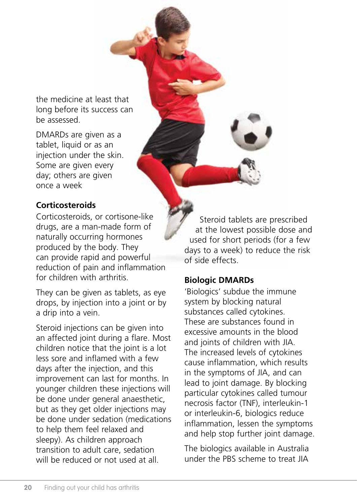the medicine at least that long before its success can be assessed.

DMARDs are given as a tablet, liquid or as an injection under the skin. Some are given every day; others are given once a week

#### **Corticosteroids**

Corticosteroids, or cortisone-like drugs, are a man-made form of naturally occurring hormones produced by the body. They can provide rapid and powerful reduction of pain and inflammation for children with arthritis.

They can be given as tablets, as eye drops, by injection into a joint or by a drip into a vein.

Steroid injections can be given into an affected joint during a flare. Most children notice that the joint is a lot less sore and inflamed with a few days after the injection, and this improvement can last for months. In younger children these injections will be done under general anaesthetic, but as they get older injections may be done under sedation (medications to help them feel relaxed and sleepy). As children approach transition to adult care, sedation will be reduced or not used at all.

Steroid tablets are prescribed at the lowest possible dose and used for short periods (for a few days to a week) to reduce the risk of side effects.

#### **Biologic DMARDs**

'Biologics' subdue the immune system by blocking natural substances called cytokines. These are substances found in excessive amounts in the blood and joints of children with JIA. The increased levels of cytokines cause inflammation, which results in the symptoms of JIA, and can lead to joint damage. By blocking particular cytokines called tumour necrosis factor (TNF), interleukin-1 or interleukin-6, biologics reduce inflammation, lessen the symptoms and help stop further joint damage.

The biologics available in Australia under the PBS scheme to treat JIA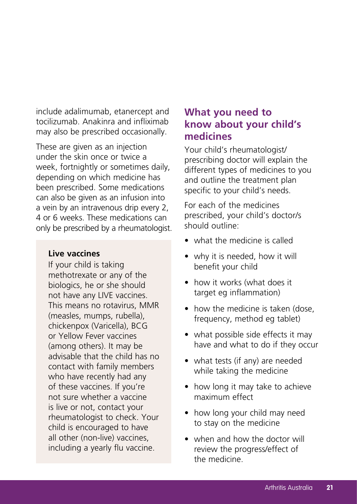include adalimumab, etanercept and tocilizumab. Anakinra and infliximab may also be prescribed occasionally.

These are given as an injection under the skin once or twice a week, fortnightly or sometimes daily, depending on which medicine has been prescribed. Some medications can also be given as an infusion into a vein by an intravenous drip every 2, 4 or 6 weeks. These medications can only be prescribed by a rheumatologist.

#### **Live vaccines**

If your child is taking methotrexate or any of the biologics, he or she should not have any LIVE vaccines. This means no rotavirus, MMR (measles, mumps, rubella), chickenpox (Varicella), BCG or Yellow Fever vaccines (among others). It may be advisable that the child has no contact with family members who have recently had any of these vaccines. If you're not sure whether a vaccine is live or not, contact your rheumatologist to check. Your child is encouraged to have all other (non-live) vaccines, including a yearly flu vaccine.

#### **What you need to know about your child's medicines**

Your child's rheumatologist/ prescribing doctor will explain the different types of medicines to you and outline the treatment plan specific to your child's needs.

For each of the medicines prescribed, your child's doctor/s should outline:

- what the medicine is called
- why it is needed, how it will benefit your child
- how it works (what does it target eg inflammation)
- how the medicine is taken (dose, frequency, method eg tablet)
- what possible side effects it may have and what to do if they occur
- what tests (if any) are needed while taking the medicine
- how long it may take to achieve maximum effect
- how long your child may need to stay on the medicine
- when and how the doctor will review the progress/effect of the medicine.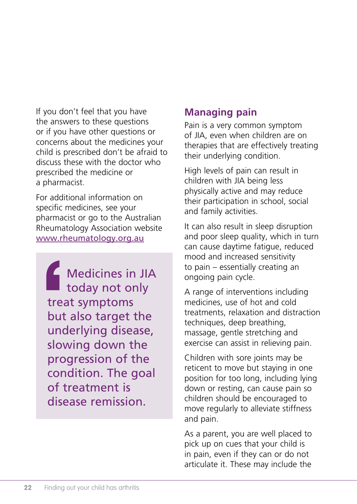If you don't feel that you have the answers to these questions or if you have other questions or concerns about the medicines your child is prescribed don't be afraid to discuss these with the doctor who prescribed the medicine or a pharmacist.

For additional information on specific medicines, see your pharmacist or go to the Australian Rheumatology Association website www.rheumatology.org.au

Medicines in JIA today not only treat symptoms but also target the underlying disease, slowing down the progression of the condition. The goal of treatment is disease remission.

## **Managing pain**

Pain is a very common symptom of JIA, even when children are on therapies that are effectively treating their underlying condition.

High levels of pain can result in children with JIA being less physically active and may reduce their participation in school, social and family activities.

It can also result in sleep disruption and poor sleep quality, which in turn can cause daytime fatigue, reduced mood and increased sensitivity to pain – essentially creating an ongoing pain cycle.

A range of interventions including medicines, use of hot and cold treatments, relaxation and distraction techniques, deep breathing, massage, gentle stretching and exercise can assist in relieving pain.

Children with sore joints may be reticent to move but staying in one position for too long, including lying down or resting, can cause pain so children should be encouraged to move regularly to alleviate stiffness and pain.

As a parent, you are well placed to pick up on cues that your child is in pain, even if they can or do not articulate it. These may include the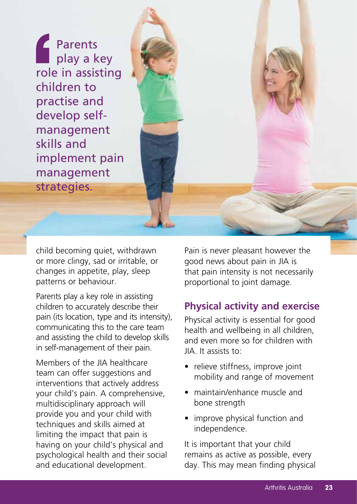Parents **play a key** role in assisting children to practise and develop selfmanagement skills and implement pain management strategies.

child becoming quiet, withdrawn or more clingy, sad or irritable, or changes in appetite, play, sleep patterns or behaviour.

Parents play a key role in assisting children to accurately describe their pain (its location, type and its intensity), communicating this to the care team and assisting the child to develop skills in self-management of their pain.

Members of the JIA healthcare team can offer suggestions and interventions that actively address your child's pain. A comprehensive, multidisciplinary approach will provide you and your child with techniques and skills aimed at limiting the impact that pain is having on your child's physical and psychological health and their social and educational development.

Pain is never pleasant however the good news about pain in JIA is that pain intensity is not necessarily proportional to joint damage.

### **Physical activity and exercise**

Physical activity is essential for good health and wellbeing in all children, and even more so for children with JIA. It assists to:

- relieve stiffness, improve joint mobility and range of movement
- maintain/enhance muscle and bone strength
- improve physical function and independence.

It is important that your child remains as active as possible, every day. This may mean finding physical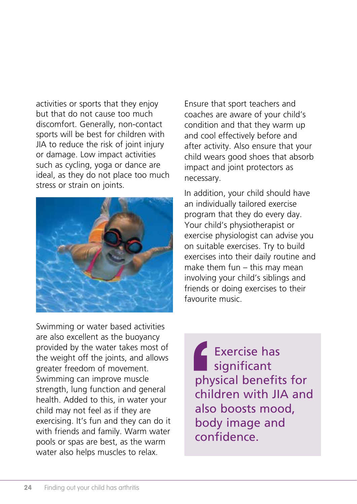activities or sports that they enjoy but that do not cause too much discomfort. Generally, non-contact sports will be best for children with JIA to reduce the risk of joint injury or damage. Low impact activities such as cycling, yoga or dance are ideal, as they do not place too much stress or strain on joints.



Ensure that sport teachers and coaches are aware of your child's condition and that they warm up and cool effectively before and after activity. Also ensure that your child wears good shoes that absorb impact and joint protectors as necessary.

In addition, your child should have an individually tailored exercise program that they do every day. Your child's physiotherapist or exercise physiologist can advise you on suitable exercises. Try to build exercises into their daily routine and make them fun – this may mean involving your child's siblings and friends or doing exercises to their favourite music.

Swimming or water based activities are also excellent as the buoyancy provided by the water takes most of the weight off the joints, and allows greater freedom of movement. Swimming can improve muscle strength, lung function and general health. Added to this, in water your child may not feel as if they are exercising. It's fun and they can do it with friends and family. Warm water pools or spas are best, as the warm water also helps muscles to relax.

Exercise has significant physical benefits for children with JIA and also boosts mood, body image and confidence.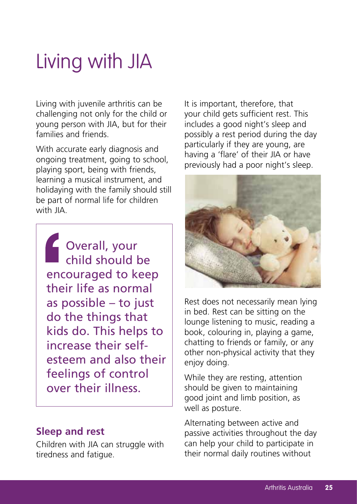## Living with JIA

Living with juvenile arthritis can be challenging not only for the child or young person with JIA, but for their families and friends.

With accurate early diagnosis and ongoing treatment, going to school, playing sport, being with friends, learning a musical instrument, and holidaying with the family should still be part of normal life for children with JIA.

Overall, your child should be encouraged to keep their life as normal as possible – to just do the things that kids do. This helps to increase their selfesteem and also their feelings of control over their illness.

#### **Sleep and rest**

Children with JIA can struggle with tiredness and fatigue.

It is important, therefore, that your child gets sufficient rest. This includes a good night's sleep and possibly a rest period during the day particularly if they are young, are having a 'flare' of their JIA or have previously had a poor night's sleep.



Rest does not necessarily mean lying in bed. Rest can be sitting on the lounge listening to music, reading a book, colouring in, playing a game, chatting to friends or family, or any other non-physical activity that they enjoy doing.

While they are resting, attention should be given to maintaining good joint and limb position, as well as posture.

Alternating between active and passive activities throughout the day can help your child to participate in their normal daily routines without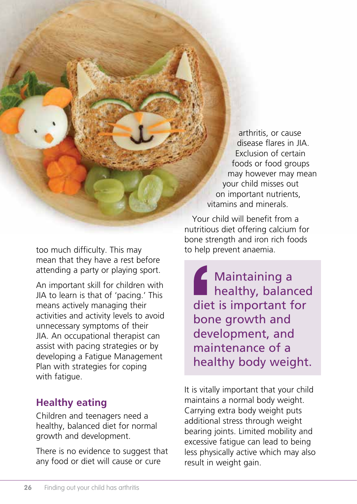arthritis, or cause disease flares in JIA. Exclusion of certain foods or food groups may however may mean your child misses out on important nutrients, vitamins and minerals.

nutritious diet offering calcium for bone strength and iron rich foods to help prevent anaemia.

Your child will benefit from a

Maintaining a healthy, balanced diet is important for bone growth and development, and maintenance of a healthy body weight.

It is vitally important that your child maintains a normal body weight. Carrying extra body weight puts additional stress through weight bearing joints. Limited mobility and excessive fatigue can lead to being less physically active which may also result in weight gain.

too much difficulty. This may mean that they have a rest before attending a party or playing sport.

An important skill for children with JIA to learn is that of 'pacing.' This means actively managing their activities and activity levels to avoid unnecessary symptoms of their JIA. An occupational therapist can assist with pacing strategies or by developing a Fatigue Management Plan with strategies for coping with fatigue.

## **Healthy eating**

Children and teenagers need a healthy, balanced diet for normal growth and development.

There is no evidence to suggest that any food or diet will cause or cure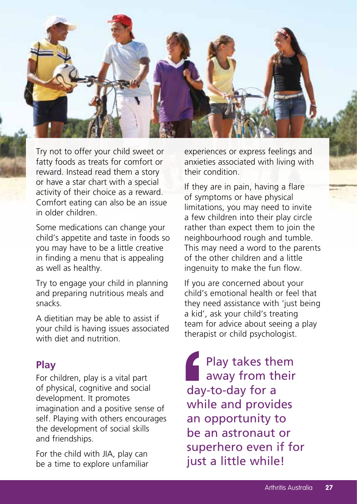

Try not to offer your child sweet or fatty foods as treats for comfort or reward. Instead read them a story or have a star chart with a special activity of their choice as a reward. Comfort eating can also be an issue in older children.

Some medications can change your child's appetite and taste in foods so you may have to be a little creative in finding a menu that is appealing as well as healthy.

Try to engage your child in planning and preparing nutritious meals and snacks.

A dietitian may be able to assist if your child is having issues associated with diet and nutrition.

#### **Play**

For children, play is a vital part of physical, cognitive and social development. It promotes imagination and a positive sense of self. Playing with others encourages the development of social skills and friendships.

For the child with JIA, play can be a time to explore unfamiliar experiences or express feelings and anxieties associated with living with their condition.

If they are in pain, having a flare of symptoms or have physical limitations, you may need to invite a few children into their play circle rather than expect them to join the neighbourhood rough and tumble. This may need a word to the parents of the other children and a little ingenuity to make the fun flow.

If you are concerned about your child's emotional health or feel that they need assistance with 'just being' a kid', ask your child's treating team for advice about seeing a play therapist or child psychologist.

Play takes them away from their day-to-day for a while and provides an opportunity to be an astronaut or superhero even if for just a little while!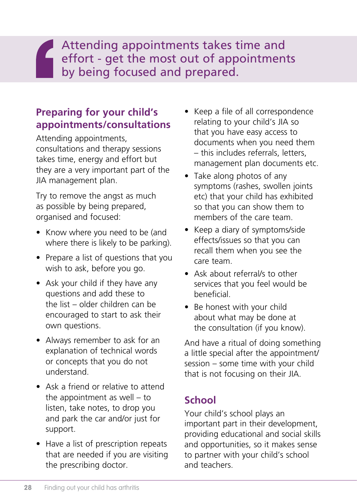Attending appointments takes time and effort - get the most out of appointments<br>by being focused and prepared by being focused and prepared.

## **Preparing for your child's appointments/consultations**

Attending appointments, consultations and therapy sessions takes time, energy and effort but they are a very important part of the JIA management plan.

Try to remove the angst as much as possible by being prepared, organised and focused:

- Know where you need to be (and where there is likely to be parking).
- Prepare a list of questions that you wish to ask, before you go.
- Ask your child if they have any questions and add these to the list – older children can be encouraged to start to ask their own questions.
- Always remember to ask for an explanation of technical words or concepts that you do not understand.
- Ask a friend or relative to attend the appointment as well – to listen, take notes, to drop you and park the car and/or just for support.
- Have a list of prescription repeats that are needed if you are visiting the prescribing doctor.
- Keep a file of all correspondence relating to your child's JIA so that you have easy access to documents when you need them – this includes referrals, letters, management plan documents etc.
- Take along photos of any symptoms (rashes, swollen joints etc) that your child has exhibited so that you can show them to members of the care team.
- Keep a diary of symptoms/side effects/issues so that you can recall them when you see the care team.
- Ask about referral/s to other services that you feel would be beneficial.
- Be honest with your child about what may be done at the consultation (if you know).

And have a ritual of doing something a little special after the appointment/ session – some time with your child that is not focusing on their JIA.

## **School**

Your child's school plays an important part in their development, providing educational and social skills and opportunities, so it makes sense to partner with your child's school and teachers.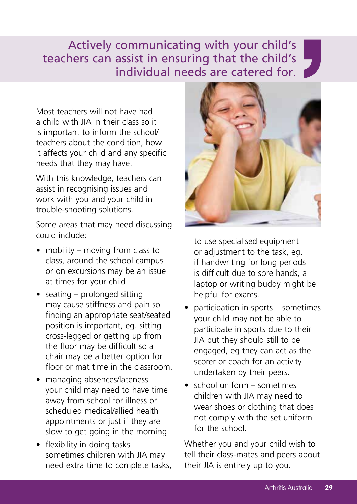## Actively communicating with your child's teachers can assist in ensuring that the child's individual needs are catered for.

Most teachers will not have had a child with IIA in their class so it is important to inform the school/ teachers about the condition, how it affects your child and any specific needs that they may have.

With this knowledge, teachers can assist in recognising issues and work with you and your child in trouble-shooting solutions.

Some areas that may need discussing could include:

- mobility moving from class to class, around the school campus or on excursions may be an issue at times for your child.
- seating prolonged sitting may cause stiffness and pain so finding an appropriate seat/seated position is important, eg. sitting cross-legged or getting up from the floor may be difficult so a chair may be a better option for floor or mat time in the classroom.
- managing absences/lateness your child may need to have time away from school for illness or scheduled medical/allied health appointments or just if they are slow to get going in the morning.
- flexibility in doing tasks sometimes children with JIA may need extra time to complete tasks,



to use specialised equipment or adjustment to the task, eg. if handwriting for long periods is difficult due to sore hands, a laptop or writing buddy might be helpful for exams.

- participation in sports sometimes your child may not be able to participate in sports due to their JIA but they should still to be engaged, eg they can act as the scorer or coach for an activity undertaken by their peers.
- school uniform sometimes children with JIA may need to wear shoes or clothing that does not comply with the set uniform for the school.

Whether you and your child wish to tell their class-mates and peers about their JIA is entirely up to you.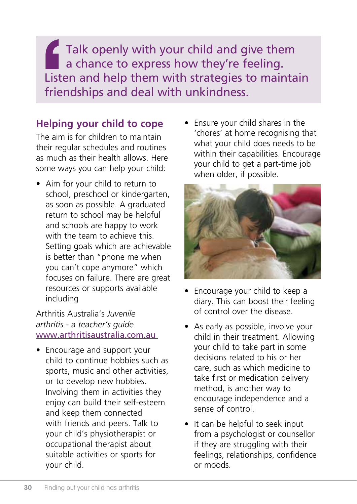Talk openly with your child and give them a chance to express how they're feeling. Listen and help them with strategies to maintain friendships and deal with unkindness.

## **Helping your child to cope**

The aim is for children to maintain their regular schedules and routines as much as their health allows. Here some ways you can help your child:

• Aim for your child to return to school, preschool or kindergarten, as soon as possible. A graduated return to school may be helpful and schools are happy to work with the team to achieve this. Setting goals which are achievable is better than "phone me when you can't cope anymore" which focuses on failure. There are great resources or supports available including

#### Arthritis Australia's *Juvenile arthritis - a teacher's guide* www.arthritisaustralia.com.au

• Encourage and support your child to continue hobbies such as sports, music and other activities, or to develop new hobbies. Involving them in activities they enjoy can build their self-esteem and keep them connected with friends and peers. Talk to your child's physiotherapist or occupational therapist about suitable activities or sports for your child.

• Ensure your child shares in the 'chores' at home recognising that what your child does needs to be within their capabilities. Encourage your child to get a part-time job when older, if possible.



- Encourage your child to keep a diary. This can boost their feeling of control over the disease.
- As early as possible, involve your child in their treatment. Allowing your child to take part in some decisions related to his or her care, such as which medicine to take first or medication delivery method, is another way to encourage independence and a sense of control.
- It can be helpful to seek input from a psychologist or counsellor if they are struggling with their feelings, relationships, confidence or moods.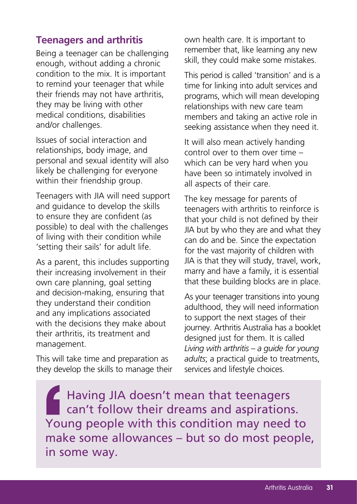#### **Teenagers and arthritis**

Being a teenager can be challenging enough, without adding a chronic condition to the mix. It is important to remind your teenager that while their friends may not have arthritis, they may be living with other medical conditions, disabilities and/or challenges.

Issues of social interaction and relationships, body image, and personal and sexual identity will also likely be challenging for everyone within their friendship group.

Teenagers with JIA will need support and guidance to develop the skills to ensure they are confident (as possible) to deal with the challenges of living with their condition while 'setting their sails' for adult life.

As a parent, this includes supporting their increasing involvement in their own care planning, goal setting and decision-making, ensuring that they understand their condition and any implications associated with the decisions they make about their arthritis, its treatment and management.

This will take time and preparation as they develop the skills to manage their own health care. It is important to remember that, like learning any new skill, they could make some mistakes.

This period is called 'transition' and is a time for linking into adult services and programs, which will mean developing relationships with new care team members and taking an active role in seeking assistance when they need it.

It will also mean actively handing control over to them over time – which can be very hard when you have been so intimately involved in all aspects of their care.

The key message for parents of teenagers with arthritis to reinforce is that your child is not defined by their JIA but by who they are and what they can do and be. Since the expectation for the vast majority of children with JIA is that they will study, travel, work, marry and have a family, it is essential that these building blocks are in place.

As your teenager transitions into young adulthood, they will need information to support the next stages of their journey. Arthritis Australia has a booklet designed just for them. It is called *Living with arthritis – a guide for young adults*; a practical guide to treatments, services and lifestyle choices.

Having JIA doesn't mean that teenagers can't follow their dreams and aspirations. Young people with this condition may need to make some allowances – but so do most people, in some way.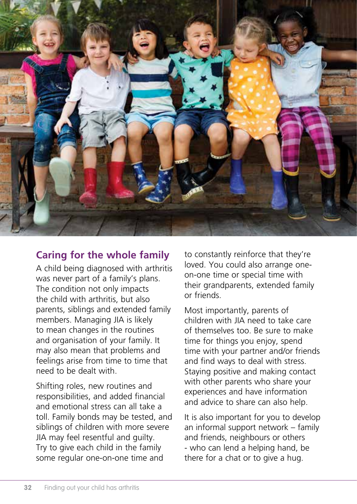

### **Caring for the whole family**

A child being diagnosed with arthritis was never part of a family's plans. The condition not only impacts the child with arthritis, but also parents, siblings and extended family members. Managing JIA is likely to mean changes in the routines and organisation of your family. It may also mean that problems and feelings arise from time to time that need to be dealt with.

Shifting roles, new routines and responsibilities, and added financial and emotional stress can all take a toll. Family bonds may be tested, and siblings of children with more severe JIA may feel resentful and guilty. Try to give each child in the family some regular one-on-one time and

to constantly reinforce that they're loved. You could also arrange oneon-one time or special time with their grandparents, extended family or friends.

Most importantly, parents of children with IIA need to take care of themselves too. Be sure to make time for things you enjoy, spend time with your partner and/or friends and find ways to deal with stress. Staying positive and making contact with other parents who share your experiences and have information and advice to share can also help.

It is also important for you to develop an informal support network – family and friends, neighbours or others - who can lend a helping hand, be there for a chat or to give a hug.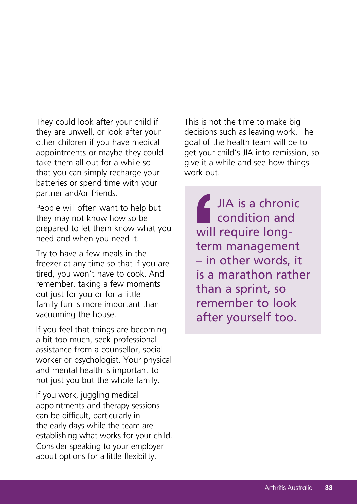They could look after your child if they are unwell, or look after your other children if you have medical appointments or maybe they could take them all out for a while so that you can simply recharge your batteries or spend time with your partner and/or friends.

People will often want to help but they may not know how so be prepared to let them know what you need and when you need it.

Try to have a few meals in the freezer at any time so that if you are tired, you won't have to cook. And remember, taking a few moments out just for you or for a little family fun is more important than vacuuming the house.

If you feel that things are becoming a bit too much, seek professional assistance from a counsellor, social worker or psychologist. Your physical and mental health is important to not just you but the whole family.

If you work, juggling medical appointments and therapy sessions can be difficult, particularly in the early days while the team are establishing what works for your child. Consider speaking to your employer about options for a little flexibility.

This is not the time to make big decisions such as leaving work. The goal of the health team will be to get your child's JIA into remission, so give it a while and see how things work out.

IJIA is a chronic condition and will require longterm management – in other words, it is a marathon rather than a sprint, so remember to look after yourself too.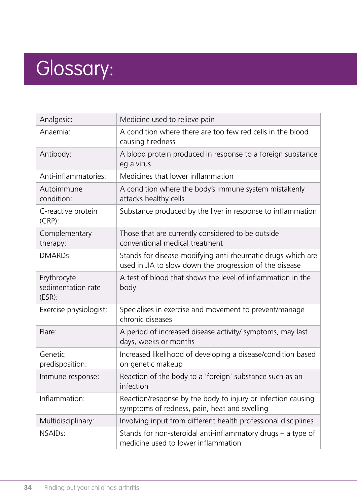## Glossary:

| Analgesic:                                     | Medicine used to relieve pain                                                                                          |
|------------------------------------------------|------------------------------------------------------------------------------------------------------------------------|
| Anaemia:                                       | A condition where there are too few red cells in the blood<br>causing tiredness                                        |
| Antibody:                                      | A blood protein produced in response to a foreign substance<br>eg a virus                                              |
| Anti-inflammatories:                           | Medicines that lower inflammation                                                                                      |
| Autoimmune<br>condition:                       | A condition where the body's immune system mistakenly<br>attacks healthy cells                                         |
| C-reactive protein<br>$(CRP)$ :                | Substance produced by the liver in response to inflammation                                                            |
| Complementary<br>therapy:                      | Those that are currently considered to be outside<br>conventional medical treatment                                    |
| DMARD <sub>S</sub> :                           | Stands for disease-modifying anti-rheumatic drugs which are<br>used in JIA to slow down the progression of the disease |
| Erythrocyte<br>sedimentation rate<br>$(ESR)$ : | A test of blood that shows the level of inflammation in the<br>body                                                    |
| Exercise physiologist:                         | Specialises in exercise and movement to prevent/manage<br>chronic diseases                                             |
| Flare:                                         | A period of increased disease activity/ symptoms, may last<br>days, weeks or months                                    |
| Genetic<br>predisposition:                     | Increased likelihood of developing a disease/condition based<br>on genetic makeup                                      |
| Immune response:                               | Reaction of the body to a 'foreign' substance such as an<br>infection                                                  |
| Inflammation:                                  | Reaction/response by the body to injury or infection causing<br>symptoms of redness, pain, heat and swelling           |
| Multidisciplinary:                             | Involving input from different health professional disciplines                                                         |
| NSAIDs:                                        | Stands for non-steroidal anti-inflammatory drugs - a type of<br>medicine used to lower inflammation                    |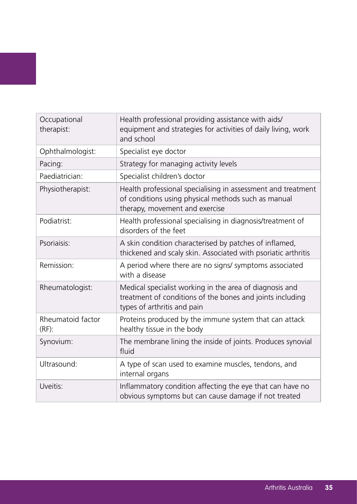| Occupational<br>therapist:    | Health professional providing assistance with aids/<br>equipment and strategies for activities of daily living, work<br>and school                    |
|-------------------------------|-------------------------------------------------------------------------------------------------------------------------------------------------------|
| Ophthalmologist:              | Specialist eye doctor                                                                                                                                 |
| Pacing:                       | Strategy for managing activity levels                                                                                                                 |
| Paediatrician:                | Specialist children's doctor                                                                                                                          |
| Physiotherapist:              | Health professional specialising in assessment and treatment<br>of conditions using physical methods such as manual<br>therapy, movement and exercise |
| Podiatrist:                   | Health professional specialising in diagnosis/treatment of<br>disorders of the feet                                                                   |
| Psoriaisis:                   | A skin condition characterised by patches of inflamed,<br>thickened and scaly skin. Associated with psoriatic arthritis                               |
| Remission:                    | A period where there are no signs/ symptoms associated<br>with a disease                                                                              |
| Rheumatologist:               | Medical specialist working in the area of diagnosis and<br>treatment of conditions of the bones and joints including<br>types of arthritis and pain   |
| Rheumatoid factor<br>$(RF)$ : | Proteins produced by the immune system that can attack<br>healthy tissue in the body                                                                  |
| Synovium:                     | The membrane lining the inside of joints. Produces synovial<br>fluid                                                                                  |
| Ultrasound:                   | A type of scan used to examine muscles, tendons, and<br>internal organs                                                                               |
| Uveitis:                      | Inflammatory condition affecting the eye that can have no<br>obvious symptoms but can cause damage if not treated                                     |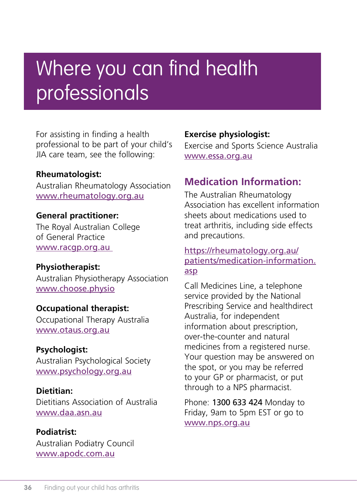## Where you can find health professionals

For assisting in finding a health professional to be part of your child's JIA care team, see the following:

#### **Rheumatologist:**

Australian Rheumatology Association www.rheumatology.org.au

#### **General practitioner:**

The Royal Australian College of General Practice www.racgp.org.au

## **Physiotherapist:**

Australian Physiotherapy Association www.choose.physio

#### **Occupational therapist:**

Occupational Therapy Australia www.otaus.org.au

#### **Psychologist:**

Australian Psychological Society www.psychology.org.au

#### **Dietitian:**

Dietitians Association of Australia www.daa.asn.au

#### **Podiatrist:** Australian Podiatry Council www.apodc.com.au

#### **Exercise physiologist:**

Exercise and Sports Science Australia www.essa.org.au

### **Medication Information:**

The Australian Rheumatology Association has excellent information sheets about medications used to treat arthritis, including side effects and precautions.

#### https://rheumatology.org.au/ patients/medication-information. asp

Call Medicines Line, a telephone service provided by the National Prescribing Service and healthdirect Australia, for independent information about prescription, over-the-counter and natural medicines from a registered nurse. Your question may be answered on the spot, or you may be referred to your GP or pharmacist, or put through to a NPS pharmacist.

Phone: 1300 633 424 Monday to Friday, 9am to 5pm EST or go to www.nps.org.au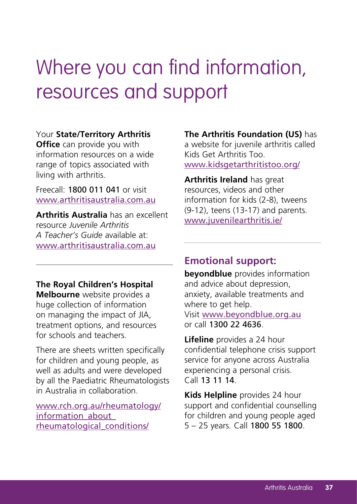## Where you can find information, resources and support

#### Your **State/Territory Arthritis**

**Office** can provide you with information resources on a wide range of topics associated with living with arthritis.

Freecall: 1800 011 041 or visit www.arthritisaustralia.com.au

**Arthritis Australia** has an excellent resource *Juvenile Arthritis A Teacher's Guide* available at: www.arthritisaustralia.com.au

**The Royal Children's Hospital Melbourne** website provides a huge collection of information on managing the impact of JIA, treatment options, and resources for schools and teachers.

There are sheets written specifically for children and young people, as well as adults and were developed by all the Paediatric Rheumatologists in Australia in collaboration.

www.rch.org.au/rheumatology/ information\_about\_ rheumatological\_conditions/

**The Arthritis Foundation (US)** has a website for juvenile arthritis called Kids Get Arthritis Too. www.kidsgetarthritistoo.org/

**Arthritis Ireland** has great resources, videos and other information for kids (2-8), tweens (9-12), teens (13-17) and parents. www.juvenilearthritis.ie/

#### **Emotional support:**

**beyondblue** provides information and advice about depression, anxiety, available treatments and where to get help. Visit www.beyondblue.org.au or call 1300 22 4636.

**Lifeline** provides a 24 hour confidential telephone crisis support service for anyone across Australia experiencing a personal crisis. Call 13 11 14.

**Kids Helpline** provides 24 hour support and confidential counselling for children and young people aged 5 – 25 years. Call 1800 55 1800.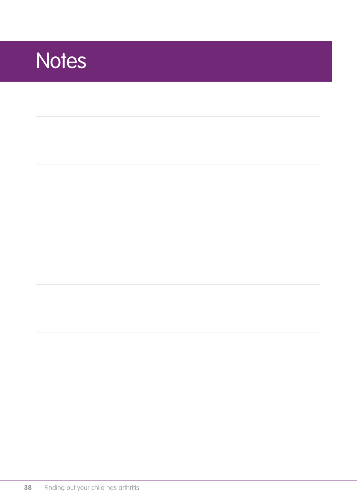## **Notes**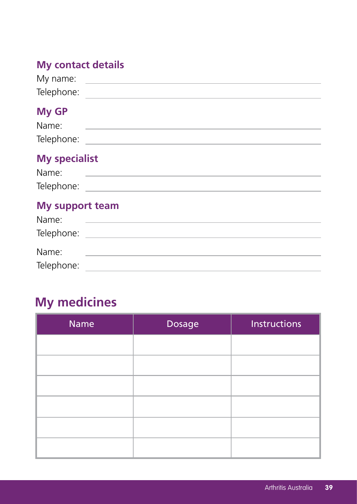## **My contact details**

| My name:   |  |
|------------|--|
| Telephone: |  |

## **My GP**

| Name.      |  |
|------------|--|
| Telephone: |  |

## **My specialist**

| Name:      |  |
|------------|--|
| Telephone: |  |

### **My support team**

| Name:      |  |
|------------|--|
| Telephone: |  |
|            |  |
| Name:      |  |
| Telephone: |  |

## **My medicines**

| <b>Name</b> | Dosage | <b>Instructions</b> |
|-------------|--------|---------------------|
|             |        |                     |
|             |        |                     |
|             |        |                     |
|             |        |                     |
|             |        |                     |
|             |        |                     |